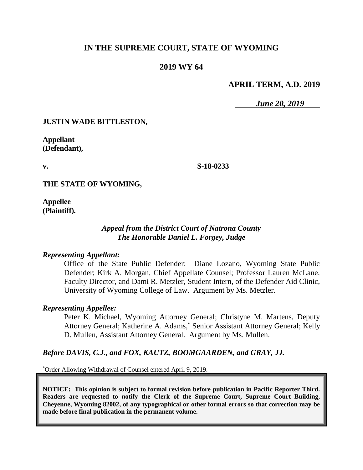# **IN THE SUPREME COURT, STATE OF WYOMING**

## **2019 WY 64**

### **APRIL TERM, A.D. 2019**

*June 20, 2019*

### **JUSTIN WADE BITTLESTON,**

**Appellant (Defendant),**

**v.**

**S-18-0233**

**THE STATE OF WYOMING,**

**Appellee (Plaintiff).**

### *Appeal from the District Court of Natrona County The Honorable Daniel L. Forgey, Judge*

### *Representing Appellant:*

Office of the State Public Defender: Diane Lozano, Wyoming State Public Defender; Kirk A. Morgan, Chief Appellate Counsel; Professor Lauren McLane, Faculty Director, and Dami R. Metzler, Student Intern, of the Defender Aid Clinic, University of Wyoming College of Law. Argument by Ms. Metzler.

### *Representing Appellee:*

Peter K. Michael, Wyoming Attorney General; Christyne M. Martens, Deputy Attorney General; Katherine A. Adams, \* Senior Assistant Attorney General; Kelly D. Mullen, Assistant Attorney General. Argument by Ms. Mullen.

### *Before DAVIS, C.J., and FOX, KAUTZ, BOOMGAARDEN, and GRAY, JJ.*

\*Order Allowing Withdrawal of Counsel entered April 9, 2019.

**NOTICE: This opinion is subject to formal revision before publication in Pacific Reporter Third. Readers are requested to notify the Clerk of the Supreme Court, Supreme Court Building, Cheyenne, Wyoming 82002, of any typographical or other formal errors so that correction may be made before final publication in the permanent volume.**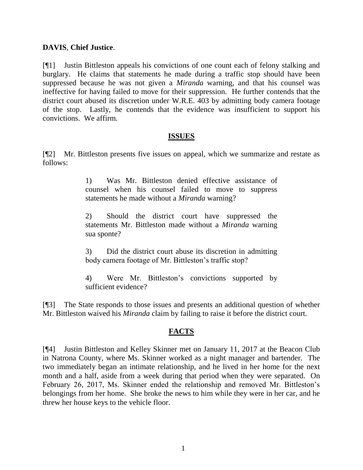### **DAVIS**, **Chief Justice**.

[¶1] Justin Bittleston appeals his convictions of one count each of felony stalking and burglary. He claims that statements he made during a traffic stop should have been suppressed because he was not given a *Miranda* warning, and that his counsel was ineffective for having failed to move for their suppression. He further contends that the district court abused its discretion under W.R.E. 403 by admitting body camera footage of the stop. Lastly, he contends that the evidence was insufficient to support his convictions. We affirm.

#### **ISSUES**

[¶2] Mr. Bittleston presents five issues on appeal, which we summarize and restate as follows:

> 1) Was Mr. Bittleston denied effective assistance of counsel when his counsel failed to move to suppress statements he made without a *Miranda* warning?

> 2) Should the district court have suppressed the statements Mr. Bittleston made without a *Miranda* warning sua sponte?

> 3) Did the district court abuse its discretion in admitting body camera footage of Mr. Bittleston's traffic stop?

> 4) Were Mr. Bittleston's convictions supported by sufficient evidence?

[¶3] The State responds to those issues and presents an additional question of whether Mr. Bittleston waived his *Miranda* claim by failing to raise it before the district court.

## **FACTS**

[¶4] Justin Bittleston and Kelley Skinner met on January 11, 2017 at the Beacon Club in Natrona County, where Ms. Skinner worked as a night manager and bartender. The two immediately began an intimate relationship, and he lived in her home for the next month and a half, aside from a week during that period when they were separated. On February 26, 2017, Ms. Skinner ended the relationship and removed Mr. Bittleston's belongings from her home. She broke the news to him while they were in her car, and he threw her house keys to the vehicle floor.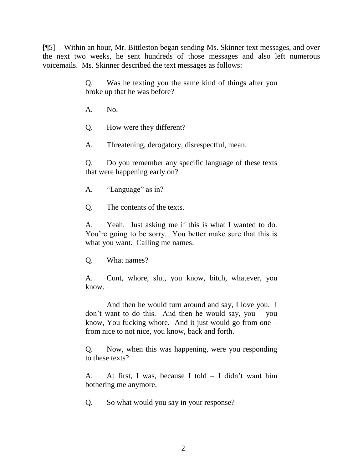[¶5] Within an hour, Mr. Bittleston began sending Ms. Skinner text messages, and over the next two weeks, he sent hundreds of those messages and also left numerous voicemails. Ms. Skinner described the text messages as follows:

> Q. Was he texting you the same kind of things after you broke up that he was before?

A. No.

Q. How were they different?

A. Threatening, derogatory, disrespectful, mean.

Q. Do you remember any specific language of these texts that were happening early on?

A. "Language" as in?

Q. The contents of the texts.

A. Yeah. Just asking me if this is what I wanted to do. You're going to be sorry. You better make sure that this is what you want. Calling me names.

Q. What names?

A. Cunt, whore, slut, you know, bitch, whatever, you know.

And then he would turn around and say, I love you. I don't want to do this. And then he would say, you – you know, You fucking whore. And it just would go from one – from nice to not nice, you know, back and forth.

Q. Now, when this was happening, were you responding to these texts?

A. At first, I was, because I told – I didn't want him bothering me anymore.

Q. So what would you say in your response?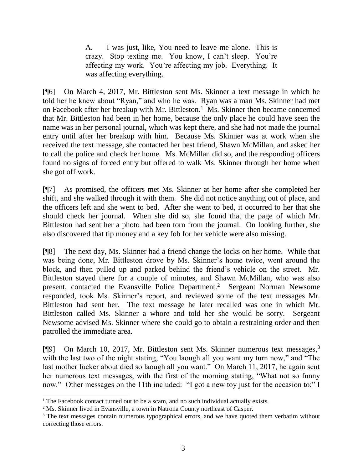A. I was just, like, You need to leave me alone. This is crazy. Stop texting me. You know, I can't sleep. You're affecting my work. You're affecting my job. Everything. It was affecting everything.

[¶6] On March 4, 2017, Mr. Bittleston sent Ms. Skinner a text message in which he told her he knew about "Ryan," and who he was. Ryan was a man Ms. Skinner had met on Facebook after her breakup with Mr. Bittleston.<sup>1</sup> Ms. Skinner then became concerned that Mr. Bittleston had been in her home, because the only place he could have seen the name was in her personal journal, which was kept there, and she had not made the journal entry until after her breakup with him. Because Ms. Skinner was at work when she received the text message, she contacted her best friend, Shawn McMillan, and asked her to call the police and check her home. Ms. McMillan did so, and the responding officers found no signs of forced entry but offered to walk Ms. Skinner through her home when she got off work.

[¶7] As promised, the officers met Ms. Skinner at her home after she completed her shift, and she walked through it with them. She did not notice anything out of place, and the officers left and she went to bed. After she went to bed, it occurred to her that she should check her journal. When she did so, she found that the page of which Mr. Bittleston had sent her a photo had been torn from the journal. On looking further, she also discovered that tip money and a key fob for her vehicle were also missing.

[¶8] The next day, Ms. Skinner had a friend change the locks on her home. While that was being done, Mr. Bittleston drove by Ms. Skinner's home twice, went around the block, and then pulled up and parked behind the friend's vehicle on the street. Mr. Bittleston stayed there for a couple of minutes, and Shawn McMillan, who was also present, contacted the Evansville Police Department.<sup>2</sup> Sergeant Norman Newsome responded, took Ms. Skinner's report, and reviewed some of the text messages Mr. Bittleston had sent her. The text message he later recalled was one in which Mr. Bittleston called Ms. Skinner a whore and told her she would be sorry. Sergeant Newsome advised Ms. Skinner where she could go to obtain a restraining order and then patrolled the immediate area.

[¶9] On March 10, 2017, Mr. Bittleston sent Ms. Skinner numerous text messages,<sup>3</sup> with the last two of the night stating, "You laough all you want my turn now," and "The last mother fucker about died so laough all you want." On March 11, 2017, he again sent her numerous text messages, with the first of the morning stating, "What not so funny now." Other messages on the 11th included: "I got a new toy just for the occasion to;" I

<sup>&</sup>lt;sup>1</sup> The Facebook contact turned out to be a scam, and no such individual actually exists.

<sup>&</sup>lt;sup>2</sup> Ms. Skinner lived in Evansville, a town in Natrona County northeast of Casper.

<sup>&</sup>lt;sup>3</sup> The text messages contain numerous typographical errors, and we have quoted them verbatim without correcting those errors.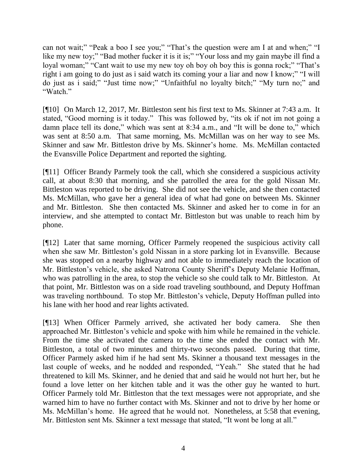can not wait;" "Peak a boo I see you;" "That's the question were am I at and when;" "I like my new toy;" "Bad mother fucker it is it is;" "Your loss and my gain maybe ill find a loyal woman;" "Cant wait to use my new toy oh boy oh boy this is gonna rock;" "That's right i am going to do just as i said watch its coming your a liar and now I know;" "I will do just as i said;" "Just time now;" "Unfaithful no loyalty bitch;" "My turn no;" and "Watch."

[¶10] On March 12, 2017, Mr. Bittleston sent his first text to Ms. Skinner at 7:43 a.m. It stated, "Good morning is it today." This was followed by, "its ok if not im not going a damn place tell its done," which was sent at 8:34 a.m., and "It will be done to," which was sent at 8:50 a.m. That same morning, Ms. McMillan was on her way to see Ms. Skinner and saw Mr. Bittleston drive by Ms. Skinner's home. Ms. McMillan contacted the Evansville Police Department and reported the sighting.

[¶11] Officer Brandy Parmely took the call, which she considered a suspicious activity call, at about 8:30 that morning, and she patrolled the area for the gold Nissan Mr. Bittleston was reported to be driving. She did not see the vehicle, and she then contacted Ms. McMillan, who gave her a general idea of what had gone on between Ms. Skinner and Mr. Bittleston. She then contacted Ms. Skinner and asked her to come in for an interview, and she attempted to contact Mr. Bittleston but was unable to reach him by phone.

[¶12] Later that same morning, Officer Parmely reopened the suspicious activity call when she saw Mr. Bittleston's gold Nissan in a store parking lot in Evansville. Because she was stopped on a nearby highway and not able to immediately reach the location of Mr. Bittleston's vehicle, she asked Natrona County Sheriff's Deputy Melanie Hoffman, who was patrolling in the area, to stop the vehicle so she could talk to Mr. Bittleston. At that point, Mr. Bittleston was on a side road traveling southbound, and Deputy Hoffman was traveling northbound. To stop Mr. Bittleston's vehicle, Deputy Hoffman pulled into his lane with her hood and rear lights activated.

[¶13] When Officer Parmely arrived, she activated her body camera. She then approached Mr. Bittleston's vehicle and spoke with him while he remained in the vehicle. From the time she activated the camera to the time she ended the contact with Mr. Bittleston, a total of two minutes and thirty-two seconds passed. During that time, Officer Parmely asked him if he had sent Ms. Skinner a thousand text messages in the last couple of weeks, and he nodded and responded, "Yeah." She stated that he had threatened to kill Ms. Skinner, and he denied that and said he would not hurt her, but he found a love letter on her kitchen table and it was the other guy he wanted to hurt. Officer Parmely told Mr. Bittleston that the text messages were not appropriate, and she warned him to have no further contact with Ms. Skinner and not to drive by her home or Ms. McMillan's home. He agreed that he would not. Nonetheless, at 5:58 that evening, Mr. Bittleston sent Ms. Skinner a text message that stated, "It wont be long at all."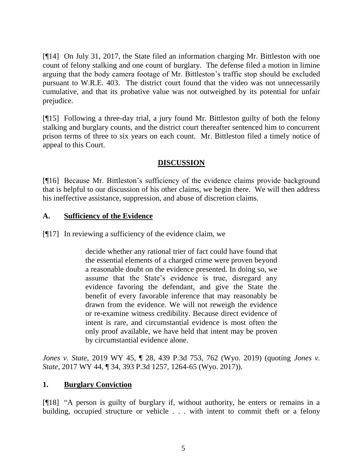[¶14] On July 31, 2017, the State filed an information charging Mr. Bittleston with one count of felony stalking and one count of burglary. The defense filed a motion in limine arguing that the body camera footage of Mr. Bittleston's traffic stop should be excluded pursuant to W.R.E. 403. The district court found that the video was not unnecessarily cumulative, and that its probative value was not outweighed by its potential for unfair prejudice.

[¶15] Following a three-day trial, a jury found Mr. Bittleston guilty of both the felony stalking and burglary counts, and the district court thereafter sentenced him to concurrent prison terms of three to six years on each count. Mr. Bittleston filed a timely notice of appeal to this Court.

# **DISCUSSION**

[¶16] Because Mr. Bittleston's sufficiency of the evidence claims provide background that is helpful to our discussion of his other claims, we begin there. We will then address his ineffective assistance, suppression, and abuse of discretion claims.

## **A. Sufficiency of the Evidence**

[¶17] In reviewing a sufficiency of the evidence claim, we

decide whether any rational trier of fact could have found that the essential elements of a charged crime were proven beyond a reasonable doubt on the evidence presented. In doing so, we assume that the State's evidence is true, disregard any evidence favoring the defendant, and give the State the benefit of every favorable inference that may reasonably be drawn from the evidence. We will not reweigh the evidence or re-examine witness credibility. Because direct evidence of intent is rare, and circumstantial evidence is most often the only proof available, we have held that intent may be proven by circumstantial evidence alone.

*Jones v. State*, 2019 WY 45, ¶ 28, 439 P.3d 753, 762 (Wyo. 2019) (quoting *Jones v. State*, 2017 WY 44, ¶ 34, 393 P.3d 1257, 1264-65 (Wyo. 2017)).

## **1. Burglary Conviction**

[¶18] "A person is guilty of burglary if, without authority, he enters or remains in a building, occupied structure or vehicle . . . with intent to commit theft or a felony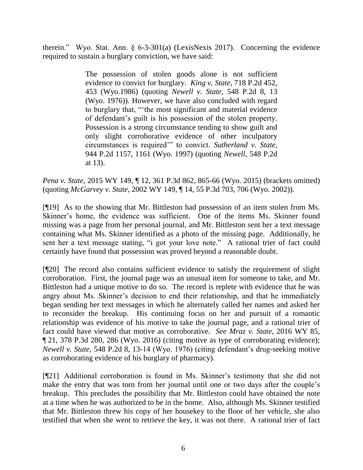therein." Wyo. Stat. Ann. § 6-3-301(a) (LexisNexis 2017). Concerning the evidence required to sustain a burglary conviction, we have said:

> The possession of stolen goods alone is not sufficient evidence to convict for burglary. *King v. State*, 718 P.2d 452, 453 (Wyo.1986) (quoting *Newell v. State*, 548 P.2d 8, 13 (Wyo. 1976)). However, we have also concluded with regard to burglary that, "'the most significant and material evidence of defendant's guilt is his possession of the stolen property. Possession is a strong circumstance tending to show guilt and only slight corroborative evidence of other inculpatory circumstances is required'" to convict. *Sutherland v. State*, 944 P.2d 1157, 1161 (Wyo. 1997) (quoting *Newell*, 548 P.2d at 13).

*Pena v. State*, 2015 WY 149, ¶ 12, 361 P.3d 862, 865-66 (Wyo. 2015) (brackets omitted) (quoting *McGarvey v. State*, 2002 WY 149, ¶ 14, 55 P.3d 703, 706 (Wyo. 2002)).

[¶19] As to the showing that Mr. Bittleston had possession of an item stolen from Ms. Skinner's home, the evidence was sufficient. One of the items Ms. Skinner found missing was a page from her personal journal, and Mr. Bittleston sent her a text message containing what Ms. Skinner identified as a photo of the missing page. Additionally, he sent her a text message stating, "i got your love note." A rational trier of fact could certainly have found that possession was proved beyond a reasonable doubt.

[¶20] The record also contains sufficient evidence to satisfy the requirement of slight corroboration. First, the journal page was an unusual item for someone to take, and Mr. Bittleston had a unique motive to do so. The record is replete with evidence that he was angry about Ms. Skinner's decision to end their relationship, and that he immediately began sending her text messages in which he alternately called her names and asked her to reconsider the breakup. His continuing focus on her and pursuit of a romantic relationship was evidence of his motive to take the journal page, and a rational trier of fact could have viewed that motive as corroborative. *See Mraz v. State*, 2016 WY 85, ¶ 21, 378 P.3d 280, 286 (Wyo. 2016) (citing motive as type of corroborating evidence); *Newell v. State*, 548 P.2d 8, 13-14 (Wyo. 1976) (citing defendant's drug-seeking motive as corroborating evidence of his burglary of pharmacy).

[¶21] Additional corroboration is found in Ms. Skinner's testimony that she did not make the entry that was torn from her journal until one or two days after the couple's breakup. This precludes the possibility that Mr. Bittleston could have obtained the note at a time when he was authorized to be in the home. Also, although Ms. Skinner testified that Mr. Bittleston threw his copy of her housekey to the floor of her vehicle, she also testified that when she went to retrieve the key, it was not there. A rational trier of fact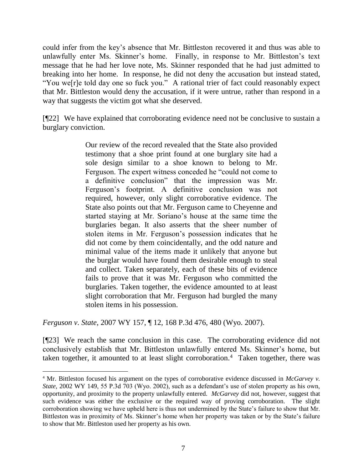could infer from the key's absence that Mr. Bittleston recovered it and thus was able to unlawfully enter Ms. Skinner's home. Finally, in response to Mr. Bittleston's text message that he had her love note, Ms. Skinner responded that he had just admitted to breaking into her home. In response, he did not deny the accusation but instead stated, "You we[r]e told day one so fuck you." A rational trier of fact could reasonably expect that Mr. Bittleston would deny the accusation, if it were untrue, rather than respond in a way that suggests the victim got what she deserved.

[¶22] We have explained that corroborating evidence need not be conclusive to sustain a burglary conviction.

> Our review of the record revealed that the State also provided testimony that a shoe print found at one burglary site had a sole design similar to a shoe known to belong to Mr. Ferguson. The expert witness conceded he "could not come to a definitive conclusion" that the impression was Mr. Ferguson's footprint. A definitive conclusion was not required, however, only slight corroborative evidence. The State also points out that Mr. Ferguson came to Cheyenne and started staying at Mr. Soriano's house at the same time the burglaries began. It also asserts that the sheer number of stolen items in Mr. Ferguson's possession indicates that he did not come by them coincidentally, and the odd nature and minimal value of the items made it unlikely that anyone but the burglar would have found them desirable enough to steal and collect. Taken separately, each of these bits of evidence fails to prove that it was Mr. Ferguson who committed the burglaries. Taken together, the evidence amounted to at least slight corroboration that Mr. Ferguson had burgled the many stolen items in his possession.

*Ferguson v. State*, 2007 WY 157, ¶ 12, 168 P.3d 476, 480 (Wyo. 2007).

 $\overline{a}$ 

[¶23] We reach the same conclusion in this case. The corroborating evidence did not conclusively establish that Mr. Bittleston unlawfully entered Ms. Skinner's home, but taken together, it amounted to at least slight corroboration.<sup>4</sup> Taken together, there was

<sup>4</sup> Mr. Bittleston focused his argument on the types of corroborative evidence discussed in *McGarvey v. State*, 2002 WY 149, 55 P.3d 703 (Wyo. 2002), such as a defendant's use of stolen property as his own, opportunity, and proximity to the property unlawfully entered. *McGarvey* did not, however, suggest that such evidence was either the exclusive or the required way of proving corroboration. The slight corroboration showing we have upheld here is thus not undermined by the State's failure to show that Mr. Bittleston was in proximity of Ms. Skinner's home when her property was taken or by the State's failure to show that Mr. Bittleston used her property as his own.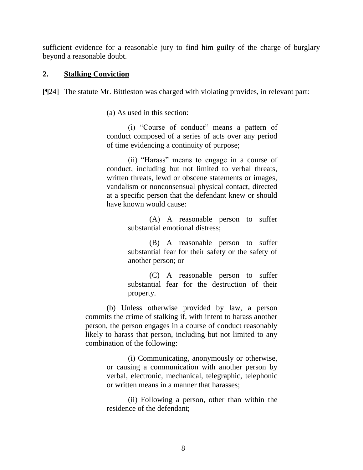sufficient evidence for a reasonable jury to find him guilty of the charge of burglary beyond a reasonable doubt.

### **2. Stalking Conviction**

[¶24] The statute Mr. Bittleston was charged with violating provides, in relevant part:

(a) As used in this section:

(i) "Course of conduct" means a pattern of conduct composed of a series of acts over any period of time evidencing a continuity of purpose;

(ii) "Harass" means to engage in a course of conduct, including but not limited to verbal threats, written threats, lewd or obscene statements or images, vandalism or nonconsensual physical contact, directed at a specific person that the defendant knew or should have known would cause:

> (A) A reasonable person to suffer substantial emotional distress;

> (B) A reasonable person to suffer substantial fear for their safety or the safety of another person; or

> (C) A reasonable person to suffer substantial fear for the destruction of their property.

(b) Unless otherwise provided by law, a person commits the crime of stalking if, with intent to harass another person, the person engages in a course of conduct reasonably likely to harass that person, including but not limited to any combination of the following:

> (i) Communicating, anonymously or otherwise, or causing a communication with another person by verbal, electronic, mechanical, telegraphic, telephonic or written means in a manner that harasses;

> (ii) Following a person, other than within the residence of the defendant;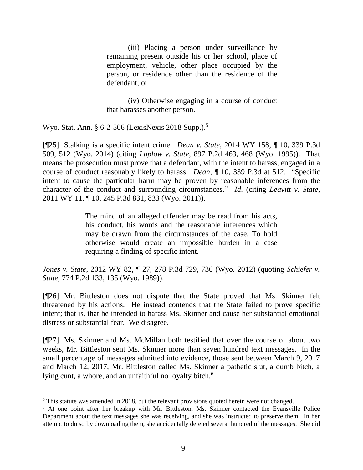(iii) Placing a person under surveillance by remaining present outside his or her school, place of employment, vehicle, other place occupied by the person, or residence other than the residence of the defendant; or

(iv) Otherwise engaging in a course of conduct that harasses another person.

Wyo. Stat. Ann. § 6-2-506 (LexisNexis 2018 Supp.).<sup>5</sup>

[¶25] Stalking is a specific intent crime. *Dean v. State*, 2014 WY 158, ¶ 10, 339 P.3d 509, 512 (Wyo. 2014) (citing *Luplow v. State*, 897 P.2d 463, 468 (Wyo. 1995)). That means the prosecution must prove that a defendant, with the intent to harass, engaged in a course of conduct reasonably likely to harass. *Dean*, ¶ 10, 339 P.3d at 512. "Specific intent to cause the particular harm may be proven by reasonable inferences from the character of the conduct and surrounding circumstances." *Id*. (citing *Leavitt v. State*, 2011 WY 11, ¶ 10, 245 P.3d 831, 833 (Wyo. 2011)).

> The mind of an alleged offender may be read from his acts, his conduct, his words and the reasonable inferences which may be drawn from the circumstances of the case. To hold otherwise would create an impossible burden in a case requiring a finding of specific intent.

*Jones v. State*, 2012 WY 82, ¶ 27, 278 P.3d 729, 736 (Wyo. 2012) (quoting *Schiefer v. State*, 774 P.2d 133, 135 (Wyo. 1989)).

[¶26] Mr. Bittleston does not dispute that the State proved that Ms. Skinner felt threatened by his actions. He instead contends that the State failed to prove specific intent; that is, that he intended to harass Ms. Skinner and cause her substantial emotional distress or substantial fear. We disagree.

[¶27] Ms. Skinner and Ms. McMillan both testified that over the course of about two weeks, Mr. Bittleston sent Ms. Skinner more than seven hundred text messages. In the small percentage of messages admitted into evidence, those sent between March 9, 2017 and March 12, 2017, Mr. Bittleston called Ms. Skinner a pathetic slut, a dumb bitch, a lying cunt, a whore, and an unfaithful no loyalty bitch.<sup>6</sup>

<sup>&</sup>lt;sup>5</sup> This statute was amended in 2018, but the relevant provisions quoted herein were not changed.

<sup>&</sup>lt;sup>6</sup> At one point after her breakup with Mr. Bittleston, Ms. Skinner contacted the Evansville Police Department about the text messages she was receiving, and she was instructed to preserve them. In her attempt to do so by downloading them, she accidentally deleted several hundred of the messages. She did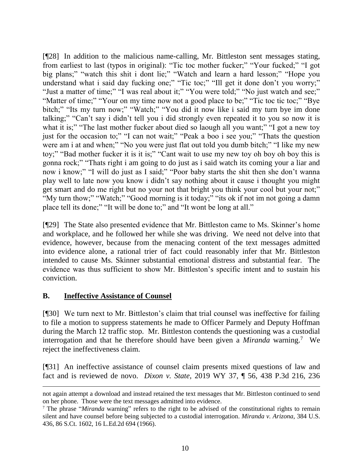[¶28] In addition to the malicious name-calling, Mr. Bittleston sent messages stating, from earliest to last (typos in original): "Tic toc mother fucker;" "Your fucked;" "I got big plans;" "watch this shit i dont lie;" "Watch and learn a hard lesson;" "Hope you understand what i said day fucking one;" "Tic toc;" "Ill get it done don't you worry;" "Just a matter of time;" "I was real about it;" "You were told;" "No just watch and see;" "Matter of time;" "Your on my time now not a good place to be;" "Tic toc tic toc;" "Bye bitch;" "Its my turn now;" "Watch;" "You did it now like i said my turn bye im done talking;" "Can't say i didn't tell you i did strongly even repeated it to you so now it is what it is;" "The last mother fucker about died so laough all you want;" "I got a new toy just for the occasion to;" "I can not wait;" "Peak a boo i see you;" "Thats the question were am i at and when;" "No you were just flat out told you dumb bitch;" "I like my new toy;" "Bad mother fucker it is it is;" "Cant wait to use my new toy oh boy oh boy this is gonna rock;" "Thats right i am going to do just as i said watch its coming your a liar and now i know;" "I will do just as I said;" "Poor baby starts the shit then she don't wanna play well to late now you know i didn't say nothing about it cause i thought you might get smart and do me right but no your not that bright you think your cool but your not;" "My turn thow;" "Watch;" "Good morning is it today;" "its ok if not im not going a damn place tell its done;" "It will be done to;" and "It wont be long at all."

[¶29] The State also presented evidence that Mr. Bittleston came to Ms. Skinner's home and workplace, and he followed her while she was driving. We need not delve into that evidence, however, because from the menacing content of the text messages admitted into evidence alone, a rational trier of fact could reasonably infer that Mr. Bittleston intended to cause Ms. Skinner substantial emotional distress and substantial fear. The evidence was thus sufficient to show Mr. Bittleston's specific intent and to sustain his conviction.

## **B. Ineffective Assistance of Counsel**

[¶30] We turn next to Mr. Bittleston's claim that trial counsel was ineffective for failing to file a motion to suppress statements he made to Officer Parmely and Deputy Hoffman during the March 12 traffic stop. Mr. Bittleston contends the questioning was a custodial interrogation and that he therefore should have been given a *Miranda* warning.<sup>7</sup> We reject the ineffectiveness claim.

[¶31] An ineffective assistance of counsel claim presents mixed questions of law and fact and is reviewed de novo. *Dixon v. State*, 2019 WY 37, ¶ 56, 438 P.3d 216, 236

not again attempt a download and instead retained the text messages that Mr. Bittleston continued to send on her phone. Those were the text messages admitted into evidence.

<sup>7</sup> The phrase "*Miranda* warning" refers to the right to be advised of the constitutional rights to remain silent and have counsel before being subjected to a custodial interrogation. *[Miranda v. Arizona](http://www.westlaw.com/Link/Document/FullText?findType=Y&serNum=1966131580&pubNum=0000708&originatingDoc=Idc478010f82211e8a174b18b713fc6d4&refType=RP&originationContext=document&vr=3.0&rs=cblt1.0&transitionType=DocumentItem&contextData=(sc.Search))*, 384 U.S. [436, 86 S.Ct. 1602, 16 L.Ed.2d 694 \(1966\).](http://www.westlaw.com/Link/Document/FullText?findType=Y&serNum=1966131580&pubNum=0000708&originatingDoc=Idc478010f82211e8a174b18b713fc6d4&refType=RP&originationContext=document&vr=3.0&rs=cblt1.0&transitionType=DocumentItem&contextData=(sc.Search))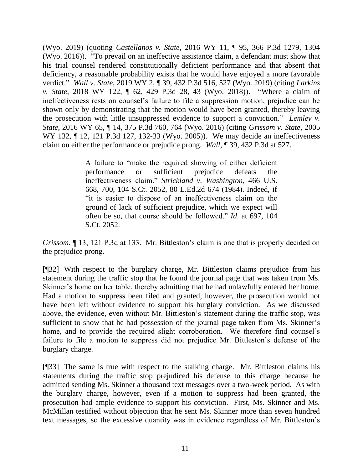(Wyo. 2019) (quoting *Castellanos v. State*, 2016 WY 11, ¶ 95, 366 P.3d 1279, 1304 (Wyo. 2016)). "To prevail on an ineffective assistance claim, a defendant must show that his trial counsel rendered constitutionally deficient performance and that absent that deficiency, a reasonable probability exists that he would have enjoyed a more favorable verdict." *Wall v. State*, 2019 WY 2, ¶ 39, 432 P.3d 516, 527 (Wyo. 2019) (citing *Larkins v. State*, 2018 WY 122, ¶ 62, 429 P.3d 28, 43 (Wyo. 2018)). "Where a claim of ineffectiveness rests on counsel's failure to file a suppression motion, prejudice can be shown only by demonstrating that the motion would have been granted, thereby leaving the prosecution with little unsuppressed evidence to support a conviction." *Lemley v. State*, 2016 WY 65, ¶ 14, 375 P.3d 760, 764 (Wyo. 2016) (citing *Grissom v. State*, 2005 WY 132, ¶ 12, 121 P.3d 127, 132-33 (Wyo. 2005)). We may decide an ineffectiveness claim on either the performance or prejudice prong. *Wall*, ¶ 39, 432 P.3d at 527.

> A failure to "make the required showing of either deficient performance or sufficient prejudice defeats the ineffectiveness claim." *Strickland v. Washington*, 466 U.S. 668, 700, 104 S.Ct. 2052, 80 L.Ed.2d 674 (1984). Indeed, if "it is easier to dispose of an ineffectiveness claim on the ground of lack of sufficient prejudice, which we expect will often be so, that course should be followed." *Id*. at 697, 104 S.Ct. 2052.

*Grissom*,  $\parallel$  13, 121 P.3d at 133. Mr. Bittleston's claim is one that is properly decided on the prejudice prong.

[¶32] With respect to the burglary charge, Mr. Bittleston claims prejudice from his statement during the traffic stop that he found the journal page that was taken from Ms. Skinner's home on her table, thereby admitting that he had unlawfully entered her home. Had a motion to suppress been filed and granted, however, the prosecution would not have been left without evidence to support his burglary conviction. As we discussed above, the evidence, even without Mr. Bittleston's statement during the traffic stop, was sufficient to show that he had possession of the journal page taken from Ms. Skinner's home, and to provide the required slight corroboration. We therefore find counsel's failure to file a motion to suppress did not prejudice Mr. Bittleston's defense of the burglary charge.

[¶33] The same is true with respect to the stalking charge. Mr. Bittleston claims his statements during the traffic stop prejudiced his defense to this charge because he admitted sending Ms. Skinner a thousand text messages over a two-week period. As with the burglary charge, however, even if a motion to suppress had been granted, the prosecution had ample evidence to support his conviction. First, Ms. Skinner and Ms. McMillan testified without objection that he sent Ms. Skinner more than seven hundred text messages, so the excessive quantity was in evidence regardless of Mr. Bittleston's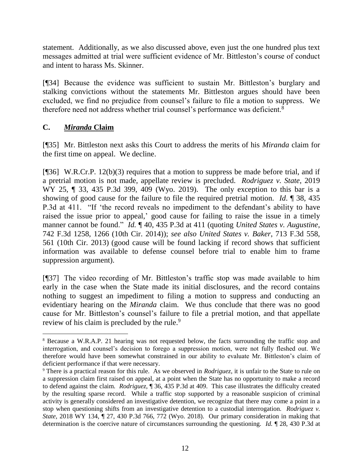statement. Additionally, as we also discussed above, even just the one hundred plus text messages admitted at trial were sufficient evidence of Mr. Bittleston's course of conduct and intent to harass Ms. Skinner.

[¶34] Because the evidence was sufficient to sustain Mr. Bittleston's burglary and stalking convictions without the statements Mr. Bittleston argues should have been excluded, we find no prejudice from counsel's failure to file a motion to suppress. We therefore need not address whether trial counsel's performance was deficient.<sup>8</sup>

# **C.** *Miranda* **Claim**

[¶35] Mr. Bittleston next asks this Court to address the merits of his *Miranda* claim for the first time on appeal. We decline.

[¶36] W.R.Cr.P. 12(b)(3) requires that a motion to suppress be made before trial, and if a pretrial motion is not made, appellate review is precluded. *Rodriguez v. State*, 2019 WY 25, ¶ 33, 435 P.3d 399, 409 (Wyo. 2019). The only exception to this bar is a showing of good cause for the failure to file the required pretrial motion. *Id*. ¶ 38, 435 P.3d at 411. "If 'the record reveals no impediment to the defendant's ability to have raised the issue prior to appeal,' good cause for failing to raise the issue in a timely manner cannot be found." *Id.* ¶ 40, 435 P.3d at 411 (quoting *United States v. Augustine*, 742 F.3d 1258, 1266 (10th Cir. 2014)); *see also United States v. Baker*, 713 F.3d 558, 561 (10th Cir. 2013) (good cause will be found lacking if record shows that sufficient information was available to defense counsel before trial to enable him to frame suppression argument).

[¶37] The video recording of Mr. Bittleston's traffic stop was made available to him early in the case when the State made its initial disclosures, and the record contains nothing to suggest an impediment to filing a motion to suppress and conducting an evidentiary hearing on the *Miranda* claim. We thus conclude that there was no good cause for Mr. Bittleston's counsel's failure to file a pretrial motion, and that appellate review of his claim is precluded by the rule.<sup>9</sup>

 <sup>8</sup> Because a W.R.A.P. 21 hearing was not requested below, the facts surrounding the traffic stop and interrogation, and counsel's decision to forego a suppression motion, were not fully fleshed out. We therefore would have been somewhat constrained in our ability to evaluate Mr. Bittleston's claim of deficient performance if that were necessary.

<sup>9</sup> There is a practical reason for this rule. As we observed in *Rodriguez*, it is unfair to the State to rule on a suppression claim first raised on appeal, at a point when the State has no opportunity to make a record to defend against the claim. *Rodriguez*, ¶ 36, 435 P.3d at 409. This case illustrates the difficulty created by the resulting sparse record. While a traffic stop supported by a reasonable suspicion of criminal activity is generally considered an investigative detention, we recognize that there may come a point in a stop when questioning shifts from an investigative detention to a custodial interrogation. *Rodriguez v. State*, 2018 WY 134, ¶ 27, 430 P.3d 766, 772 (Wyo. 2018). Our primary consideration in making that determination is the coercive nature of circumstances surrounding the questioning. *Id.* ¶ 28, 430 P.3d at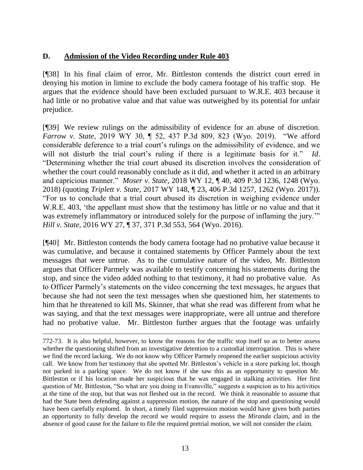# **D. Admission of the Video Recording under Rule 403**

[¶38] In his final claim of error, Mr. Bittleston contends the district court erred in denying his motion in limine to exclude the body camera footage of his traffic stop. He argues that the evidence should have been excluded pursuant to W.R.E. 403 because it had little or no probative value and that value was outweighed by its potential for unfair prejudice.

[¶39] We review rulings on the admissibility of evidence for an abuse of discretion. *Farrow v. State*, 2019 WY 30, ¶ 52, 437 P.3d 809, 823 (Wyo. 2019). "We afford considerable deference to a trial court's rulings on the admissibility of evidence, and we will not disturb the trial court's ruling if there is a legitimate basis for it." *Id*. "Determining whether the trial court abused its discretion involves the consideration of whether the court could reasonably conclude as it did, and whether it acted in an arbitrary and capricious manner." *Moser v. State*, 2018 WY 12, ¶ 40, 409 P.3d 1236, 1248 (Wyo. 2018) (quoting *Triplett v. State*, 2017 WY 148, ¶ 23, 406 P.3d 1257, 1262 (Wyo. 2017)). "For us to conclude that a trial court abused its discretion in weighing evidence under [W.R.E. 403,](http://www.westlaw.com/Link/Document/FullText?findType=L&pubNum=1008789&cite=WYRREVR403&originatingDoc=If88589b6e11211e590d4edf60ce7d742&refType=LQ&originationContext=document&vr=3.0&rs=cblt1.0&transitionType=DocumentItem&contextData=(sc.UserEnteredCitation)) 'the appellant must show that the testimony has little or no value and that it was extremely inflammatory or introduced solely for the purpose of inflaming the jury." *Hill v. State*, 2016 WY 27, ¶ 37, 371 P.3d 553, 564 (Wyo. 2016).

[¶40] Mr. Bittleston contends the body camera footage had no probative value because it was cumulative, and because it contained statements by Officer Parmely about the text messages that were untrue. As to the cumulative nature of the video, Mr. Bittleston argues that Officer Parmely was available to testify concerning his statements during the stop, and since the video added nothing to that testimony, it had no probative value. As to Officer Parmely's statements on the video concerning the text messages, he argues that because she had not seen the text messages when she questioned him, her statements to him that he threatened to kill Ms. Skinner, that what she read was different from what he was saying, and that the text messages were inappropriate, were all untrue and therefore had no probative value. Mr. Bittleston further argues that the footage was unfairly

772-73. It is also helpful, however, to know the reasons for the traffic stop itself so as to better assess whether the questioning shifted from an investigative detention to a custodial interrogation. This is where we find the record lacking. We do not know why Officer Parmely reopened the earlier suspicious activity call. We know from her testimony that she spotted Mr. Bittleston's vehicle in a store parking lot, though not parked in a parking space. We do not know if she saw this as an opportunity to question Mr. Bittleston or if his location made her suspicious that he was engaged in stalking activities. Her first question of Mr. Bittleston, "So what are you doing in Evansville," suggests a suspicion as to his activities at the time of the stop, but that was not fleshed out in the record. We think it reasonable to assume that had the State been defending against a suppression motion, the nature of the stop and questioning would have been carefully explored. In short, a timely filed suppression motion would have given both parties an opportunity to fully develop the record we would require to assess the *Miranda* claim, and in the absence of good cause for the failure to file the required pretrial motion, we will not consider the claim.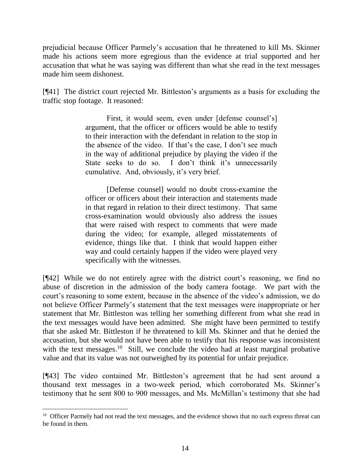prejudicial because Officer Parmely's accusation that he threatened to kill Ms. Skinner made his actions seem more egregious than the evidence at trial supported and her accusation that what he was saying was different than what she read in the text messages made him seem dishonest.

[¶41] The district court rejected Mr. Bittleston's arguments as a basis for excluding the traffic stop footage. It reasoned:

> First, it would seem, even under [defense counsel's] argument, that the officer or officers would be able to testify to their interaction with the defendant in relation to the stop in the absence of the video. If that's the case, I don't see much in the way of additional prejudice by playing the video if the State seeks to do so. I don't think it's unnecessarily cumulative. And, obviously, it's very brief.

> [Defense counsel] would no doubt cross-examine the officer or officers about their interaction and statements made in that regard in relation to their direct testimony. That same cross-examination would obviously also address the issues that were raised with respect to comments that were made during the video; for example, alleged misstatements of evidence, things like that. I think that would happen either way and could certainly happen if the video were played very specifically with the witnesses.

[¶42] While we do not entirely agree with the district court's reasoning, we find no abuse of discretion in the admission of the body camera footage. We part with the court's reasoning to some extent, because in the absence of the video's admission, we do not believe Officer Parmely's statement that the text messages were inappropriate or her statement that Mr. Bittleston was telling her something different from what she read in the text messages would have been admitted. She might have been permitted to testify that she asked Mr. Bittleston if he threatened to kill Ms. Skinner and that he denied the accusation, but she would not have been able to testify that his response was inconsistent with the text messages.<sup>10</sup> Still, we conclude the video had at least marginal probative value and that its value was not outweighed by its potential for unfair prejudice.

[¶43] The video contained Mr. Bittleston's agreement that he had sent around a thousand text messages in a two-week period, which corroborated Ms. Skinner's testimony that he sent 800 to 900 messages, and Ms. McMillan's testimony that she had

l

<sup>&</sup>lt;sup>10</sup> Officer Parmely had not read the text messages, and the evidence shows that no such express threat can be found in them.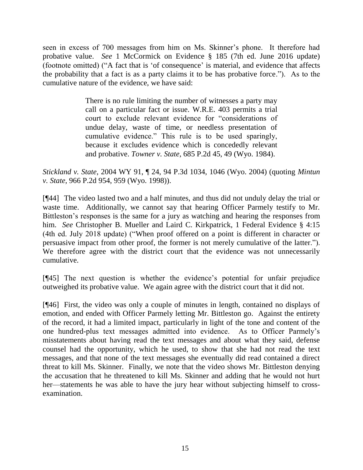seen in excess of 700 messages from him on Ms. Skinner's phone. It therefore had probative value. *See* 1 McCormick on Evidence § 185 (7th ed. June 2016 update) (footnote omitted) ("A fact that is 'of consequence' is material, and evidence that affects the probability that a fact is as a party claims it to be has probative force."). As to the cumulative nature of the evidence, we have said:

> There is no rule limiting the number of witnesses a party may call on a particular fact or issue. [W.R.E. 403](http://www.westlaw.com/Link/Document/FullText?findType=L&pubNum=1006377&cite=WYRREVR403&originatingDoc=I0b7bc588f79c11d99439b076ef9ec4de&refType=LQ&originationContext=document&vr=3.0&rs=cblt1.0&transitionType=DocumentItem&contextData=(sc.Keycite)) permits a trial court to exclude relevant evidence for "considerations of undue delay, waste of time, or needless presentation of cumulative evidence." This rule is to be used sparingly, because it excludes evidence which is concededly relevant and probative. *Towner v. State*, 685 P.2d 45, 49 (Wyo. 1984).

*Stickland v. State*, 2004 WY 91, ¶ 24, 94 P.3d 1034, 1046 (Wyo. 2004) (quoting *Mintun v. State*, 966 P.2d 954, 959 (Wyo. 1998)).

[¶44] The video lasted two and a half minutes, and thus did not unduly delay the trial or waste time. Additionally, we cannot say that hearing Officer Parmely testify to Mr. Bittleston's responses is the same for a jury as watching and hearing the responses from him. *See* Christopher B. Mueller and Laird C. Kirkpatrick, 1 Federal Evidence § 4:15 (4th ed. July 2018 update) ("When proof offered on a point is different in character or persuasive impact from other proof, the former is not merely cumulative of the latter."). We therefore agree with the district court that the evidence was not unnecessarily cumulative.

[¶45] The next question is whether the evidence's potential for unfair prejudice outweighed its probative value. We again agree with the district court that it did not.

[¶46] First, the video was only a couple of minutes in length, contained no displays of emotion, and ended with Officer Parmely letting Mr. Bittleston go. Against the entirety of the record, it had a limited impact, particularly in light of the tone and content of the one hundred-plus text messages admitted into evidence. As to Officer Parmely's misstatements about having read the text messages and about what they said, defense counsel had the opportunity, which he used, to show that she had not read the text messages, and that none of the text messages she eventually did read contained a direct threat to kill Ms. Skinner. Finally, we note that the video shows Mr. Bittleston denying the accusation that he threatened to kill Ms. Skinner and adding that he would not hurt her—statements he was able to have the jury hear without subjecting himself to crossexamination.